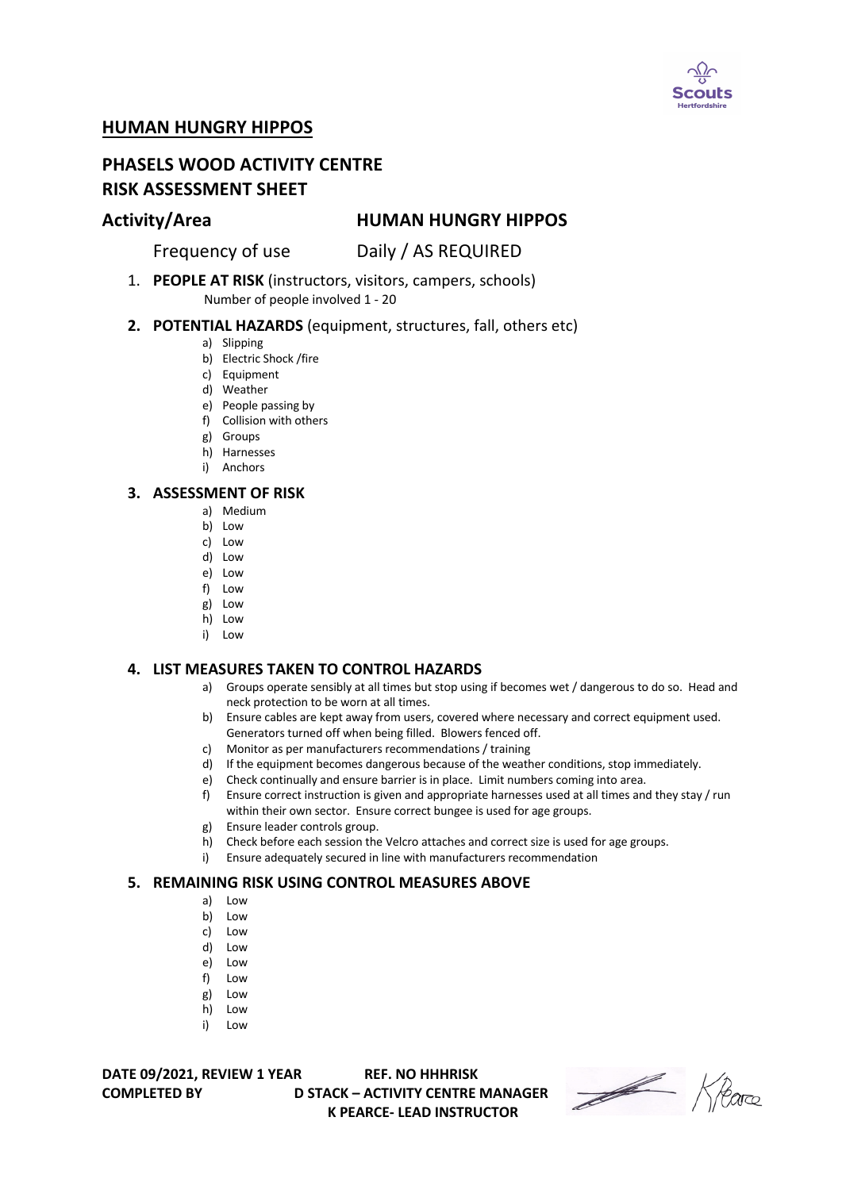

# **HUMAN HUNGRY HIPPOS**

# **PHASELS WOOD ACTIVITY CENTRE RISK ASSESSMENT SHEET**

## **Activity/Area HUMAN HUNGRY HIPPOS**

Frequency of use Daily / AS REQUIRED

1. **PEOPLE AT RISK** (instructors, visitors, campers, schools) Number of people involved 1 - 20

#### **2. POTENTIAL HAZARDS** (equipment, structures, fall, others etc)

- a) Slipping
- b) Electric Shock /fire
- c) Equipment
- d) Weather
- e) People passing by
- f) Collision with others
- g) Groups
- h) Harnesses
- i) Anchors

#### **3. ASSESSMENT OF RISK**

- a) Medium
- b) Low
- c) Low
- d) Low
- e) Low
- f) Low
- g) Low
- h) Low i) Low

### **4. LIST MEASURES TAKEN TO CONTROL HAZARDS**

- a) Groups operate sensibly at all times but stop using if becomes wet / dangerous to do so. Head and neck protection to be worn at all times.
- b) Ensure cables are kept away from users, covered where necessary and correct equipment used. Generators turned off when being filled. Blowers fenced off.
- c) Monitor as per manufacturers recommendations / training
- d) If the equipment becomes dangerous because of the weather conditions, stop immediately.
- e) Check continually and ensure barrier is in place. Limit numbers coming into area.
- f) Ensure correct instruction is given and appropriate harnesses used at all times and they stay / run within their own sector. Ensure correct bungee is used for age groups.
- g) Ensure leader controls group.
- h) Check before each session the Velcro attaches and correct size is used for age groups.
- i) Ensure adequately secured in line with manufacturers recommendation

#### **5. REMAINING RISK USING CONTROL MEASURES ABOVE**

- a) Low
- b) Low
- c) Low
- d) Low
- e) Low
- f) Low
- g) Low
- h) Low
- i) Low

**DATE 09/2021, REVIEW 1 YEAR REF. NO HHHRISK**

**COMPLETED BY D STACK – ACTIVITY CENTRE MANAGER K PEARCE- LEAD INSTRUCTOR** 

Heare